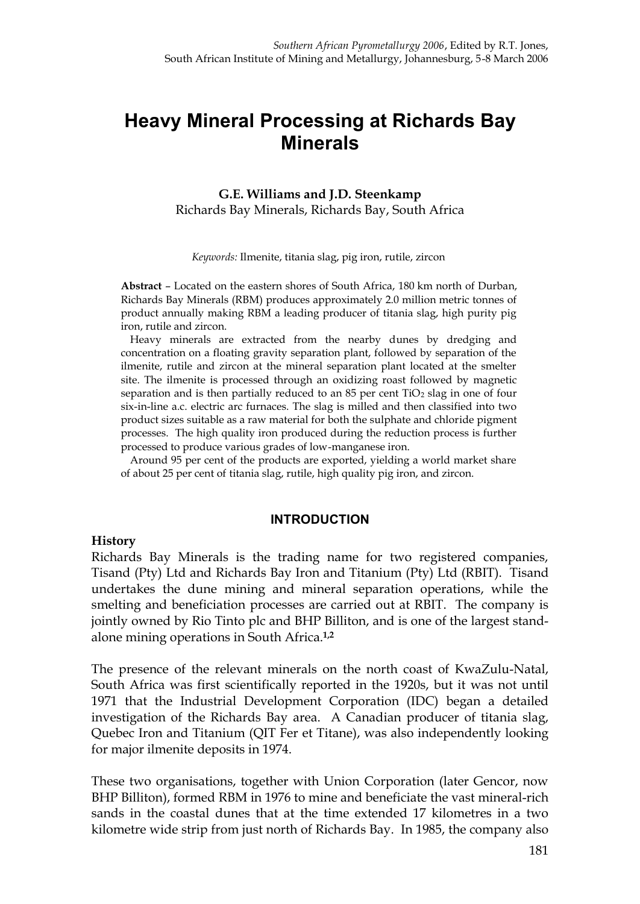# **Heavy Mineral Processing at Richards Bay Minerals**

**G.E. Williams and J.D. Steenkamp** Richards Bay Minerals, Richards Bay, South Africa

*Keywords:* Ilmenite, titania slag, pig iron, rutile, zircon

**Abstract** – Located on the eastern shores of South Africa, 180 km north of Durban, Richards Bay Minerals (RBM) produces approximately 2.0 million metric tonnes of product annually making RBM a leading producer of titania slag, high purity pig iron, rutile and zircon.

Heavy minerals are extracted from the nearby dunes by dredging and concentration on a floating gravity separation plant, followed by separation of the ilmenite, rutile and zircon at the mineral separation plant located at the smelter site. The ilmenite is processed through an oxidizing roast followed by magnetic separation and is then partially reduced to an 85 per cent  $TiO<sub>2</sub>$  slag in one of four six-in-line a.c. electric arc furnaces. The slag is milled and then classified into two product sizes suitable as a raw material for both the sulphate and chloride pigment processes. The high quality iron produced during the reduction process is further processed to produce various grades of low-manganese iron.

Around 95 per cent of the products are exported, yielding a world market share of about 25 per cent of titania slag, rutile, high quality pig iron, and zircon.

#### **INTRODUCTION**

#### **History**

Richards Bay Minerals is the trading name for two registered companies, Tisand (Pty) Ltd and Richards Bay Iron and Titanium (Pty) Ltd (RBIT). Tisand undertakes the dune mining and mineral separation operations, while the smelting and beneficiation processes are carried out at RBIT. The company is jointly owned by Rio Tinto plc and BHP Billiton, and is one of the largest standalone mining operations in South Africa.**1,2**

The presence of the relevant minerals on the north coast of KwaZulu-Natal, South Africa was first scientifically reported in the 1920s, but it was not until 1971 that the Industrial Development Corporation (IDC) began a detailed investigation of the Richards Bay area. A Canadian producer of titania slag, Quebec Iron and Titanium (QIT Fer et Titane), was also independently looking for major ilmenite deposits in 1974.

These two organisations, together with Union Corporation (later Gencor, now BHP Billiton), formed RBM in 1976 to mine and beneficiate the vast mineral-rich sands in the coastal dunes that at the time extended 17 kilometres in a two kilometre wide strip from just north of Richards Bay. In 1985, the company also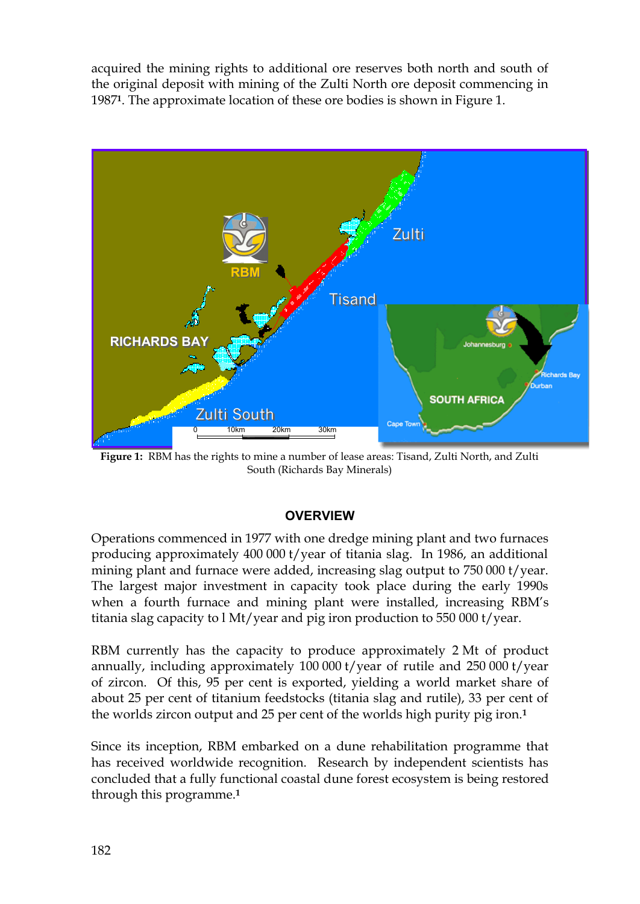acquired the mining rights to additional ore reserves both north and south of the original deposit with mining of the Zulti North ore deposit commencing in 1987**1**. The approximate location of these ore bodies is shown in Figure 1.



**Figure 1:** RBM has the rights to mine a number of lease areas: Tisand, Zulti North, and Zulti South (Richards Bay Minerals)

## **OVERVIEW**

Operations commenced in 1977 with one dredge mining plant and two furnaces producing approximately 400 000 t/year of titania slag. In 1986, an additional mining plant and furnace were added, increasing slag output to 750 000 t/year. The largest major investment in capacity took place during the early 1990s when a fourth furnace and mining plant were installed, increasing RBM's titania slag capacity to l Mt/year and pig iron production to 550 000 t/year.

RBM currently has the capacity to produce approximately 2 Mt of product annually, including approximately 100 000 t/year of rutile and 250 000 t/year of zircon. Of this, 95 per cent is exported, yielding a world market share of about 25 per cent of titanium feedstocks (titania slag and rutile), 33 per cent of the worlds zircon output and 25 per cent of the worlds high purity pig iron.**<sup>1</sup>**

Since its inception, RBM embarked on a dune rehabilitation programme that has received worldwide recognition. Research by independent scientists has concluded that a fully functional coastal dune forest ecosystem is being restored through this programme.**1**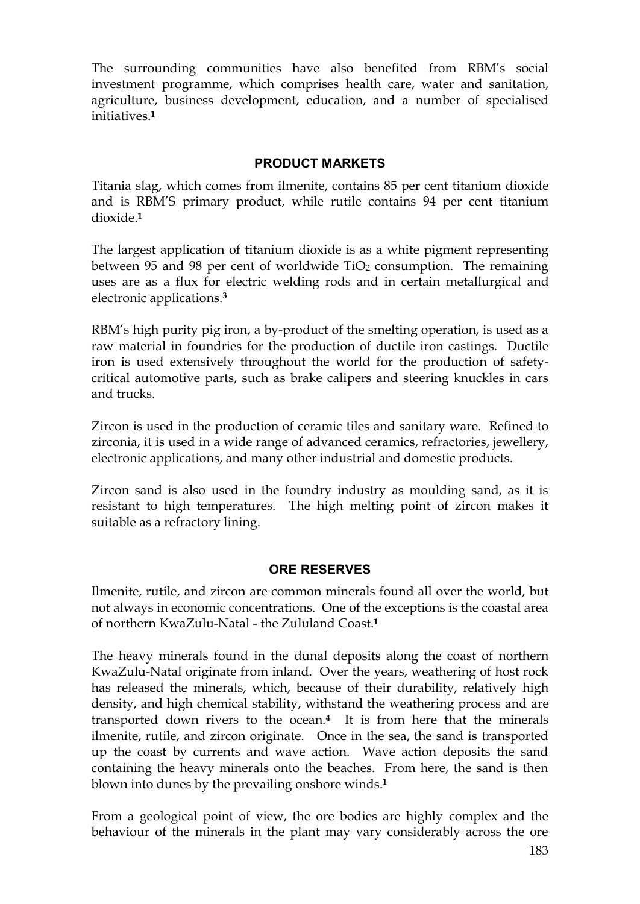The surrounding communities have also benefited from RBM's social investment programme, which comprises health care, water and sanitation, agriculture, business development, education, and a number of specialised initiatives.**<sup>1</sup>**

#### **PRODUCT MARKETS**

Titania slag, which comes from ilmenite, contains 85 per cent titanium dioxide and is RBM'S primary product, while rutile contains 94 per cent titanium dioxide.**<sup>1</sup>**

The largest application of titanium dioxide is as a white pigment representing between 95 and 98 per cent of worldwide  $TiO<sub>2</sub>$  consumption. The remaining uses are as a flux for electric welding rods and in certain metallurgical and electronic applications.**<sup>3</sup>**

RBM's high purity pig iron, a by-product of the smelting operation, is used as a raw material in foundries for the production of ductile iron castings. Ductile iron is used extensively throughout the world for the production of safetycritical automotive parts, such as brake calipers and steering knuckles in cars and trucks.

Zircon is used in the production of ceramic tiles and sanitary ware. Refined to zirconia, it is used in a wide range of advanced ceramics, refractories, jewellery, electronic applications, and many other industrial and domestic products.

Zircon sand is also used in the foundry industry as moulding sand, as it is resistant to high temperatures. The high melting point of zircon makes it suitable as a refractory lining.

#### **ORE RESERVES**

Ilmenite, rutile, and zircon are common minerals found all over the world, but not always in economic concentrations. One of the exceptions is the coastal area of northern KwaZulu-Natal - the Zululand Coast.**<sup>1</sup>**

The heavy minerals found in the dunal deposits along the coast of northern KwaZulu-Natal originate from inland. Over the years, weathering of host rock has released the minerals, which, because of their durability, relatively high density, and high chemical stability, withstand the weathering process and are transported down rivers to the ocean.**4** It is from here that the minerals ilmenite, rutile, and zircon originate. Once in the sea, the sand is transported up the coast by currents and wave action. Wave action deposits the sand containing the heavy minerals onto the beaches. From here, the sand is then blown into dunes by the prevailing onshore winds.**<sup>1</sup>**

From a geological point of view, the ore bodies are highly complex and the behaviour of the minerals in the plant may vary considerably across the ore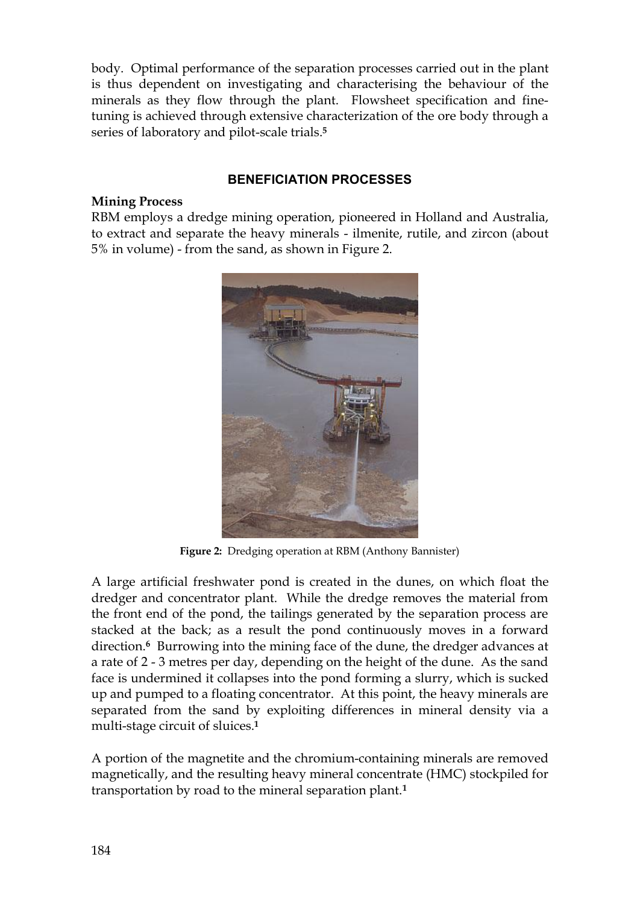body. Optimal performance of the separation processes carried out in the plant is thus dependent on investigating and characterising the behaviour of the minerals as they flow through the plant. Flowsheet specification and finetuning is achieved through extensive characterization of the ore body through a series of laboratory and pilot-scale trials.**<sup>5</sup>**

# **BENEFICIATION PROCESSES**

## **Mining Process**

RBM employs a dredge mining operation, pioneered in Holland and Australia, to extract and separate the heavy minerals - ilmenite, rutile, and zircon (about 5% in volume) - from the sand, as shown in Figure 2.



**Figure 2:** Dredging operation at RBM (Anthony Bannister)

A large artificial freshwater pond is created in the dunes, on which float the dredger and concentrator plant. While the dredge removes the material from the front end of the pond, the tailings generated by the separation process are stacked at the back; as a result the pond continuously moves in a forward direction.**6** Burrowing into the mining face of the dune, the dredger advances at a rate of 2 - 3 metres per day, depending on the height of the dune. As the sand face is undermined it collapses into the pond forming a slurry, which is sucked up and pumped to a floating concentrator. At this point, the heavy minerals are separated from the sand by exploiting differences in mineral density via a multi-stage circuit of sluices.**<sup>1</sup>**

A portion of the magnetite and the chromium-containing minerals are removed magnetically, and the resulting heavy mineral concentrate (HMC) stockpiled for transportation by road to the mineral separation plant.**1**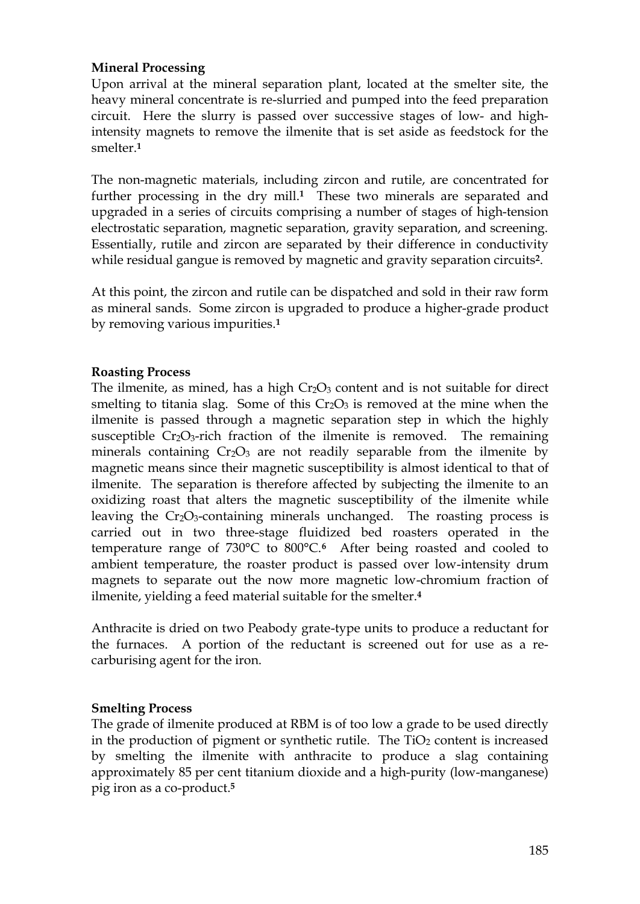## **Mineral Processing**

Upon arrival at the mineral separation plant, located at the smelter site, the heavy mineral concentrate is re-slurried and pumped into the feed preparation circuit. Here the slurry is passed over successive stages of low- and highintensity magnets to remove the ilmenite that is set aside as feedstock for the smelter.**<sup>1</sup>**

The non-magnetic materials, including zircon and rutile, are concentrated for further processing in the dry mill.**1** These two minerals are separated and upgraded in a series of circuits comprising a number of stages of high-tension electrostatic separation, magnetic separation, gravity separation, and screening. Essentially, rutile and zircon are separated by their difference in conductivity while residual gangue is removed by magnetic and gravity separation circuits**2**.

At this point, the zircon and rutile can be dispatched and sold in their raw form as mineral sands. Some zircon is upgraded to produce a higher-grade product by removing various impurities.**<sup>1</sup>**

#### **Roasting Process**

The ilmenite, as mined, has a high  $Cr_2O_3$  content and is not suitable for direct smelting to titania slag. Some of this  $Cr_2O_3$  is removed at the mine when the ilmenite is passed through a magnetic separation step in which the highly susceptible  $Cr_2O_3$ -rich fraction of the ilmenite is removed. The remaining minerals containing  $Cr_2O_3$  are not readily separable from the ilmenite by magnetic means since their magnetic susceptibility is almost identical to that of ilmenite. The separation is therefore affected by subjecting the ilmenite to an oxidizing roast that alters the magnetic susceptibility of the ilmenite while leaving the Cr<sub>2</sub>O<sub>3</sub>-containing minerals unchanged. The roasting process is carried out in two three-stage fluidized bed roasters operated in the temperature range of 730°C to 800°C.**6** After being roasted and cooled to ambient temperature, the roaster product is passed over low-intensity drum magnets to separate out the now more magnetic low-chromium fraction of ilmenite, yielding a feed material suitable for the smelter.**<sup>4</sup>**

Anthracite is dried on two Peabody grate-type units to produce a reductant for the furnaces. A portion of the reductant is screened out for use as a recarburising agent for the iron.

#### **Smelting Process**

The grade of ilmenite produced at RBM is of too low a grade to be used directly in the production of pigment or synthetic rutile. The  $TiO<sub>2</sub>$  content is increased by smelting the ilmenite with anthracite to produce a slag containing approximately 85 per cent titanium dioxide and a high-purity (low-manganese) pig iron as a co-product.**5**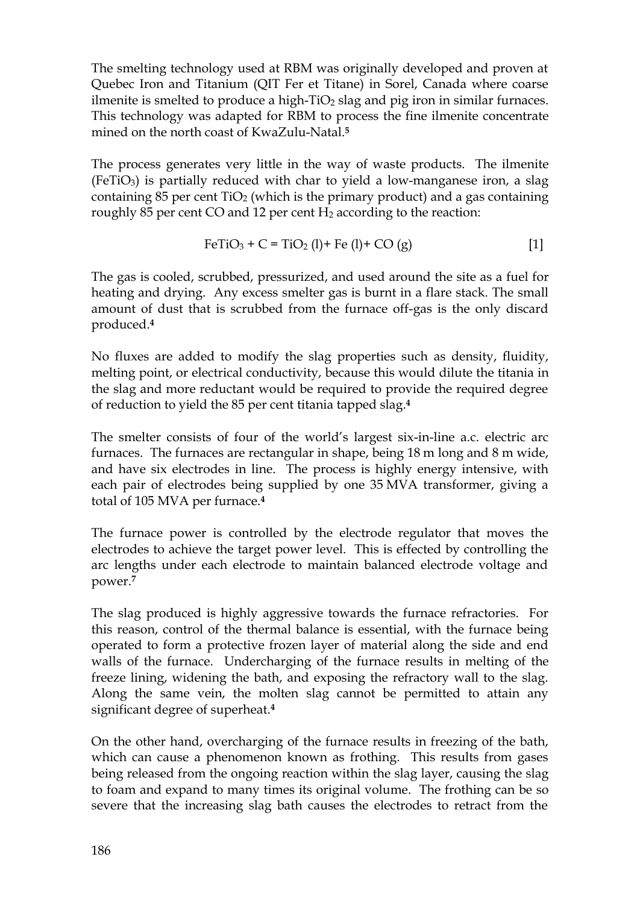The smelting technology used at RBM was originally developed and proven at Quebec Iron and Titanium (QIT Fer et Titane) in Sorel, Canada where coarse ilmenite is smelted to produce a high- $TiO<sub>2</sub>$  slag and pig iron in similar furnaces. This technology was adapted for RBM to process the fine ilmenite concentrate mined on the north coast of KwaZulu-Natal.**<sup>5</sup>**

The process generates very little in the way of waste products. The ilmenite  $(FeTiO<sub>3</sub>)$  is partially reduced with char to yield a low-manganese iron, a slag containing 85 per cent  $TiO<sub>2</sub>$  (which is the primary product) and a gas containing roughly 85 per cent CO and 12 per cent H<sub>2</sub> according to the reaction:

$$
FeTiO3 + C = TiO2 (l) + Fe (l) + CO (g)
$$
 [1]

The gas is cooled, scrubbed, pressurized, and used around the site as a fuel for heating and drying. Any excess smelter gas is burnt in a flare stack. The small amount of dust that is scrubbed from the furnace off-gas is the only discard produced.**<sup>4</sup>**

No fluxes are added to modify the slag properties such as density, fluidity, melting point, or electrical conductivity, because this would dilute the titania in the slag and more reductant would be required to provide the required degree of reduction to yield the 85 per cent titania tapped slag.**<sup>4</sup>**

The smelter consists of four of the world's largest six-in-line a.c. electric arc furnaces. The furnaces are rectangular in shape, being 18 m long and 8 m wide, and have six electrodes in line. The process is highly energy intensive, with each pair of electrodes being supplied by one 35 MVA transformer, giving a total of 105 MVA per furnace.**<sup>4</sup>**

The furnace power is controlled by the electrode regulator that moves the electrodes to achieve the target power level. This is effected by controlling the arc lengths under each electrode to maintain balanced electrode voltage and power.**<sup>7</sup>**

The slag produced is highly aggressive towards the furnace refractories. For this reason, control of the thermal balance is essential, with the furnace being operated to form a protective frozen layer of material along the side and end walls of the furnace. Undercharging of the furnace results in melting of the freeze lining, widening the bath, and exposing the refractory wall to the slag. Along the same vein, the molten slag cannot be permitted to attain any significant degree of superheat.**<sup>4</sup>**

On the other hand, overcharging of the furnace results in freezing of the bath, which can cause a phenomenon known as frothing. This results from gases being released from the ongoing reaction within the slag layer, causing the slag to foam and expand to many times its original volume. The frothing can be so severe that the increasing slag bath causes the electrodes to retract from the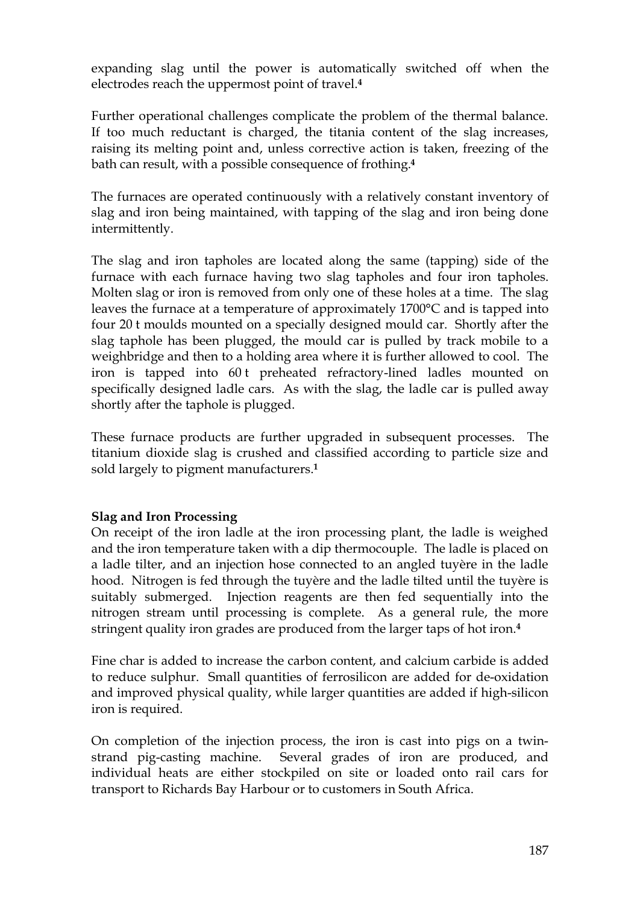expanding slag until the power is automatically switched off when the electrodes reach the uppermost point of travel.**<sup>4</sup>**

Further operational challenges complicate the problem of the thermal balance. If too much reductant is charged, the titania content of the slag increases, raising its melting point and, unless corrective action is taken, freezing of the bath can result, with a possible consequence of frothing.**<sup>4</sup>**

The furnaces are operated continuously with a relatively constant inventory of slag and iron being maintained, with tapping of the slag and iron being done intermittently.

The slag and iron tapholes are located along the same (tapping) side of the furnace with each furnace having two slag tapholes and four iron tapholes. Molten slag or iron is removed from only one of these holes at a time. The slag leaves the furnace at a temperature of approximately 1700°C and is tapped into four 20 t moulds mounted on a specially designed mould car. Shortly after the slag taphole has been plugged, the mould car is pulled by track mobile to a weighbridge and then to a holding area where it is further allowed to cool. The iron is tapped into 60 t preheated refractory-lined ladles mounted on specifically designed ladle cars. As with the slag, the ladle car is pulled away shortly after the taphole is plugged.

These furnace products are further upgraded in subsequent processes. The titanium dioxide slag is crushed and classified according to particle size and sold largely to pigment manufacturers.**<sup>1</sup>**

## **Slag and Iron Processing**

On receipt of the iron ladle at the iron processing plant, the ladle is weighed and the iron temperature taken with a dip thermocouple. The ladle is placed on a ladle tilter, and an injection hose connected to an angled tuyère in the ladle hood. Nitrogen is fed through the tuyère and the ladle tilted until the tuyère is suitably submerged. Injection reagents are then fed sequentially into the nitrogen stream until processing is complete. As a general rule, the more stringent quality iron grades are produced from the larger taps of hot iron.**<sup>4</sup>**

Fine char is added to increase the carbon content, and calcium carbide is added to reduce sulphur. Small quantities of ferrosilicon are added for de-oxidation and improved physical quality, while larger quantities are added if high-silicon iron is required.

On completion of the injection process, the iron is cast into pigs on a twinstrand pig-casting machine. Several grades of iron are produced, and individual heats are either stockpiled on site or loaded onto rail cars for transport to Richards Bay Harbour or to customers in South Africa.